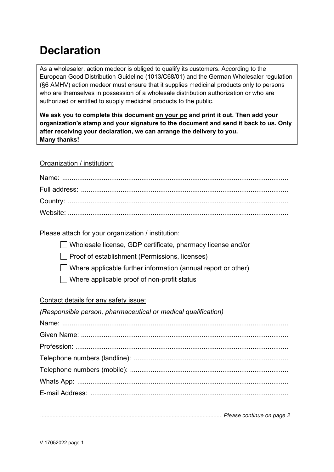## **Declaration**

As a wholesaler, action medeor is obliged to qualify its customers. According to the European Good Distribution Guideline (1013/C68/01) and the German Wholesaler regulation (§6 AMHV) action medeor must ensure that it supplies medicinal products only to persons who are themselves in possession of a wholesale distribution authorization or who are authorized or entitled to supply medicinal products to the public.

**We ask you to complete this document on your pc and print it out. Then add your organization's stamp and your signature to the document and send it back to us. Only after receiving your declaration, we can arrange the delivery to you. Many thanks!**

## Organization / institution:

Please attach for your organization / institution:

Wholesale license, GDP certificate, pharmacy license and/or

 $\Box$  Proof of establishment (Permissions, licenses)

 $\Box$  Where applicable further information (annual report or other)

 $\Box$  Where applicable proof of non-profit status

## Contact details for any safety issue:

## *(Responsible person, pharmaceutical or medical qualification)* Name: ........................................................................................................................ Given Name: .............................................................................................................. Profession: ................................................................................................................. Telephone numbers (landline): .................................................................................. Telephone numbers (mobile): .................................................................................... Whats App: ................................................................................................................ E-mail Address: .........................................................................................................

*......................................................................................................................Please continue on page 2*